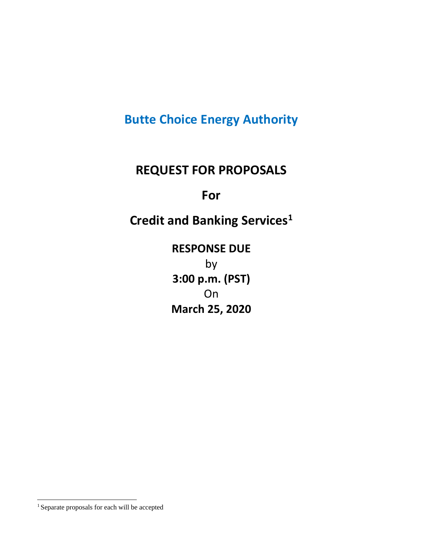# **Butte Choice Energy Authority**

## **REQUEST FOR PROPOSALS**

## **For**

# **Credit and Banking Service[s1](#page-0-0)**

**RESPONSE DUE** by **3:00 p.m. (PST) On March 25, 2020**

<span id="page-0-0"></span><sup>1</sup> Separate proposals for each will be accepted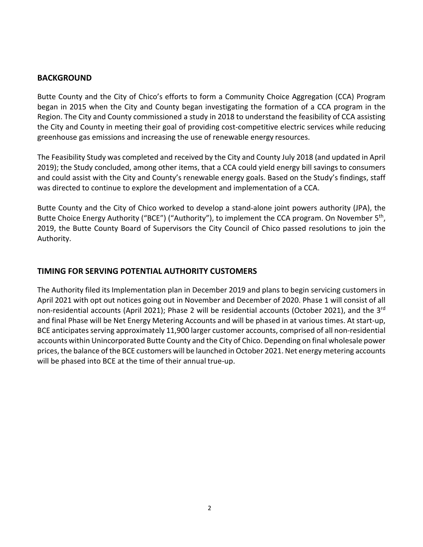## **BACKGROUND**

Butte County and the City of Chico's efforts to form a Community Choice Aggregation (CCA) Program began in 2015 when the City and County began investigating the formation of a CCA program in the Region. The City and County commissioned a study in 2018 to understand the feasibility of CCA assisting the City and County in meeting their goal of providing cost-competitive electric services while reducing greenhouse gas emissions and increasing the use of renewable energy resources.

The Feasibility Study was completed and received by the City and County July 2018 (and updated in April 2019); the Study concluded, among other items, that a CCA could yield energy bill savings to consumers and could assist with the City and County's renewable energy goals. Based on the Study's findings, staff was directed to continue to explore the development and implementation of a CCA.

Butte County and the City of Chico worked to develop a stand-alone joint powers authority (JPA), the Butte Choice Energy Authority ("BCE") ("Authority"), to implement the CCA program. On November 5<sup>th</sup>, 2019, the Butte County Board of Supervisors the City Council of Chico passed resolutions to join the Authority.

## **TIMING FOR SERVING POTENTIAL AUTHORITY CUSTOMERS**

The Authority filed its Implementation plan in December 2019 and plans to begin servicing customers in April 2021 with opt out notices going out in November and December of 2020. Phase 1 will consist of all non-residential accounts (April 2021); Phase 2 will be residential accounts (October 2021), and the 3<sup>rd</sup> and final Phase will be Net Energy Metering Accounts and will be phased in at various times. At start-up, BCE anticipates serving approximately 11,900 larger customer accounts, comprised of all non-residential accounts within Unincorporated Butte County and the City of Chico. Depending on final wholesale power prices, the balance of the BCE customers will be launched in October 2021. Net energy metering accounts will be phased into BCE at the time of their annual true-up.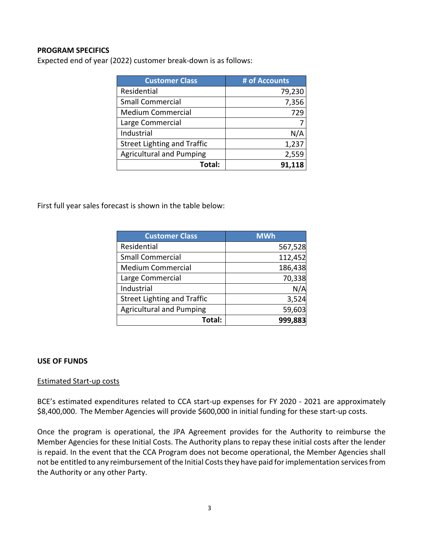## **PROGRAM SPECIFICS**

Expected end of year (2022) customer break-down is as follows:

| <b>Customer Class</b>              | # of Accounts |
|------------------------------------|---------------|
| Residential                        | 79,230        |
| <b>Small Commercial</b>            | 7,356         |
| <b>Medium Commercial</b>           | 729           |
| Large Commercial                   |               |
| Industrial                         | N/A           |
| <b>Street Lighting and Traffic</b> | 1,237         |
| <b>Agricultural and Pumping</b>    | 2,559         |
| Total:                             |               |

First full year sales forecast is shown in the table below:

| <b>Customer Class</b>              | <b>MWh</b> |
|------------------------------------|------------|
| Residential                        | 567,528    |
| <b>Small Commercial</b>            | 112,452    |
| <b>Medium Commercial</b>           | 186,438    |
| Large Commercial                   | 70,338     |
| Industrial                         | N/A        |
| <b>Street Lighting and Traffic</b> | 3,524      |
| <b>Agricultural and Pumping</b>    | 59,603     |
| Total:                             | 999,883    |

#### **USE OF FUNDS**

#### Estimated Start-up costs

BCE's estimated expenditures related to CCA start-up expenses for FY 2020 - 2021 are approximately \$8,400,000. The Member Agencies will provide \$600,000 in initial funding for these start-up costs.

Once the program is operational, the JPA Agreement provides for the Authority to reimburse the Member Agencies for these Initial Costs. The Authority plans to repay these initial costs after the lender is repaid. In the event that the CCA Program does not become operational, the Member Agencies shall not be entitled to any reimbursement of the Initial Costs they have paid for implementation services from the Authority or any other Party.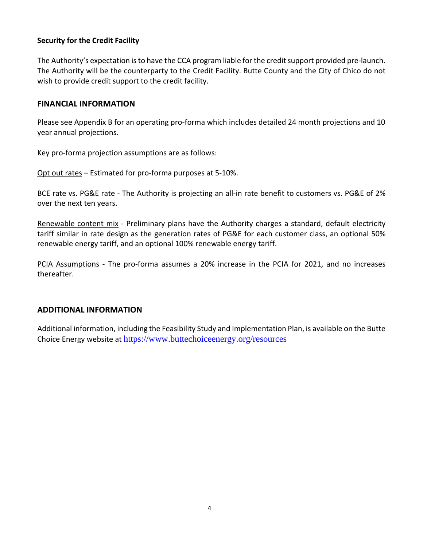## **Security for the Credit Facility**

The Authority's expectation is to have the CCA program liable for the credit support provided pre-launch. The Authority will be the counterparty to the Credit Facility. Butte County and the City of Chico do not wish to provide credit support to the credit facility.

#### **FINANCIAL INFORMATION**

Please see Appendix B for an operating pro-forma which includes detailed 24 month projections and 10 year annual projections.

Key pro-forma projection assumptions are as follows:

Opt out rates – Estimated for pro-forma purposes at 5-10%.

BCE rate vs. PG&E rate - The Authority is projecting an all-in rate benefit to customers vs. PG&E of 2% over the next ten years.

Renewable content mix - Preliminary plans have the Authority charges a standard, default electricity tariff similar in rate design as the generation rates of PG&E for each customer class, an optional 50% renewable energy tariff, and an optional 100% renewable energy tariff.

PCIA Assumptions - The pro-forma assumes a 20% increase in the PCIA for 2021, and no increases thereafter.

## **ADDITIONAL INFORMATION**

Additional information, including the Feasibility Study and Implementation Plan, is available on the Butte Choice Energy website at <https://www.buttechoiceenergy.org/resources>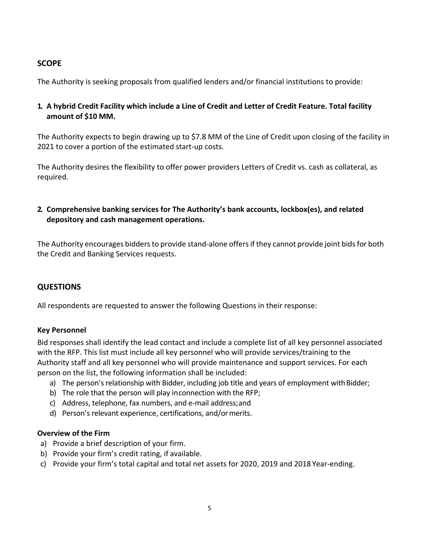## **SCOPE**

The Authority is seeking proposals from qualified lenders and/or financial institutions to provide:

## **1. A hybrid Credit Facility which include a Line of Credit and Letter of Credit Feature. Total facility amount of \$10 MM.**

The Authority expects to begin drawing up to \$7.8 MM of the Line of Credit upon closing of the facility in 2021 to cover a portion of the estimated start-up costs.

The Authority desires the flexibility to offer power providers Letters of Credit vs. cash as collateral, as required.

## **2. Comprehensive banking services for The Authority's bank accounts, lockbox(es), and related depository and cash management operations.**

The Authority encourages bidders to provide stand-alone offers if they cannot provide joint bids for both the Credit and Banking Services requests.

## **QUESTIONS**

All respondents are requested to answer the following Questions in their response:

## **Key Personnel**

Bid responses shall identify the lead contact and include a complete list of all key personnel associated with the RFP. This list must include all key personnel who will provide services/training to the Authority staff and all key personnel who will provide maintenance and support services. For each person on the list, the following information shall be included:

- a) The person's relationship with Bidder, including job title and years of employment with Bidder;
- b) The role that the person will play inconnection with the RFP;
- c) Address, telephone, fax numbers, and e-mail address;and
- d) Person's relevant experience, certifications, and/ormerits.

## **Overview of the Firm**

- a) Provide a brief description of your firm.
- b) Provide your firm's credit rating, if available.
- c) Provide your firm's total capital and total net assets for 2020, 2019 and 2018 Year-ending.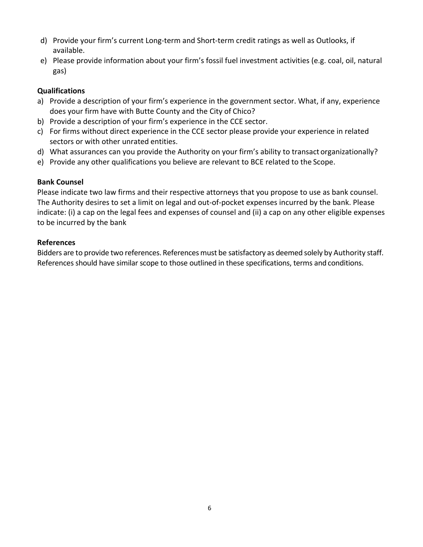- d) Provide your firm's current Long-term and Short-term credit ratings as well as Outlooks, if available.
- e) Please provide information about your firm's fossil fuel investment activities (e.g. coal, oil, natural gas)

## **Qualifications**

- a) Provide a description of your firm's experience in the government sector. What, if any, experience does your firm have with Butte County and the City of Chico?
- b) Provide a description of your firm's experience in the CCE sector.
- c) For firms without direct experience in the CCE sector please provide your experience in related sectors or with other unrated entities.
- d) What assurances can you provide the Authority on your firm's ability to transactorganizationally?
- e) Provide any other qualifications you believe are relevant to BCE related to the Scope.

## **Bank Counsel**

Please indicate two law firms and their respective attorneys that you propose to use as bank counsel. The Authority desires to set a limit on legal and out-of-pocket expenses incurred by the bank. Please indicate: (i) a cap on the legal fees and expenses of counsel and (ii) a cap on any other eligible expenses to be incurred by the bank

## **References**

Bidders are to provide two references. References must be satisfactory as deemed solely by Authority staff. References should have similar scope to those outlined in these specifications, terms and conditions.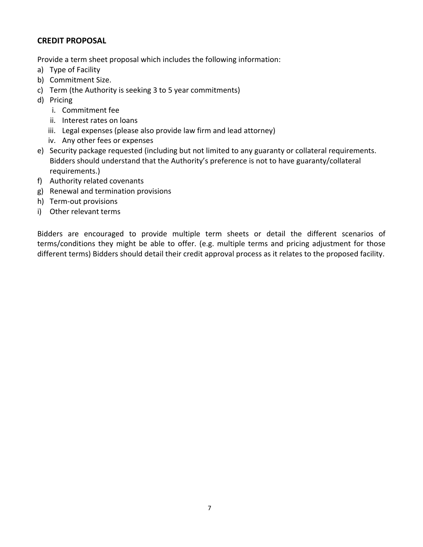## **CREDIT PROPOSAL**

Provide a term sheet proposal which includes the following information:

- a) Type of Facility
- b) Commitment Size.
- c) Term (the Authority is seeking 3 to 5 year commitments)
- d) Pricing
	- i. Commitment fee
	- ii. Interest rates on loans
	- iii. Legal expenses (please also provide law firm and lead attorney)
	- iv. Any other fees or expenses
- e) Security package requested (including but not limited to any guaranty or collateral requirements. Bidders should understand that the Authority's preference is not to have guaranty/collateral requirements.)
- f) Authority related covenants
- g) Renewal and termination provisions
- h) Term-out provisions
- i) Other relevant terms

Bidders are encouraged to provide multiple term sheets or detail the different scenarios of terms/conditions they might be able to offer. (e.g. multiple terms and pricing adjustment for those different terms) Bidders should detail their credit approval process as it relates to the proposed facility.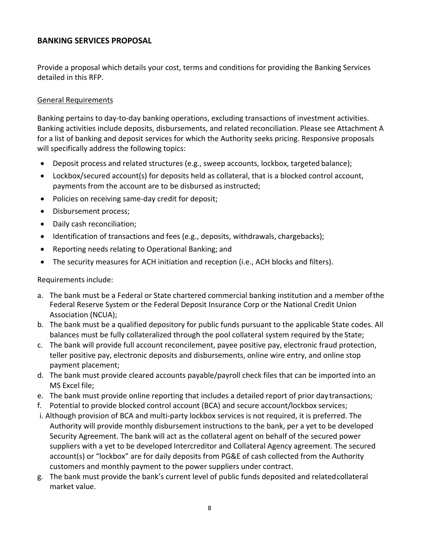## **BANKING SERVICES PROPOSAL**

Provide a proposal which details your cost, terms and conditions for providing the Banking Services detailed in this RFP.

## General Requirements

Banking pertains to day-to-day banking operations, excluding transactions of investment activities. Banking activities include deposits, disbursements, and related reconciliation. Please see Attachment A for a list of banking and deposit services for which the Authority seeks pricing. Responsive proposals will specifically address the following topics:

- Deposit process and related structures (e.g., sweep accounts, lockbox, targeted balance);
- Lockbox/secured account(s) for deposits held as collateral, that is a blocked control account, payments from the account are to be disbursed as instructed;
- Policies on receiving same-day credit for deposit;
- Disbursement process;
- Daily cash reconciliation;
- Identification of transactions and fees (e.g., deposits, withdrawals, chargebacks);
- Reporting needs relating to Operational Banking; and
- The security measures for ACH initiation and reception (i.e., ACH blocks and filters).

Requirements include:

- a. The bank must be a Federal or State chartered commercial banking institution and a member ofthe Federal Reserve System or the Federal Deposit Insurance Corp or the National Credit Union Association (NCUA);
- b. The bank must be a qualified depository for public funds pursuant to the applicable State codes. All balances must be fully collateralized through the pool collateral system required by the State;
- c. The bank will provide full account reconcilement, payee positive pay, electronic fraud protection, teller positive pay, electronic deposits and disbursements, online wire entry, and online stop payment placement;
- d. The bank must provide cleared accounts payable/payroll check files that can be imported into an MS Excel file;
- e. The bank must provide online reporting that includes a detailed report of prior day transactions;
- f. Potential to provide blocked control account (BCA) and secure account/lockbox services;
- i. Although provision of BCA and multi-party lockbox services is not required, it is preferred. The Authority will provide monthly disbursement instructions to the bank, per a yet to be developed Security Agreement. The bank will act as the collateral agent on behalf of the secured power suppliers with a yet to be developed Intercreditor and Collateral Agency agreement. The secured account(s) or "lockbox" are for daily deposits from PG&E of cash collected from the Authority customers and monthly payment to the power suppliers under contract.
- g. The bank must provide the bank's current level of public funds deposited and relatedcollateral market value.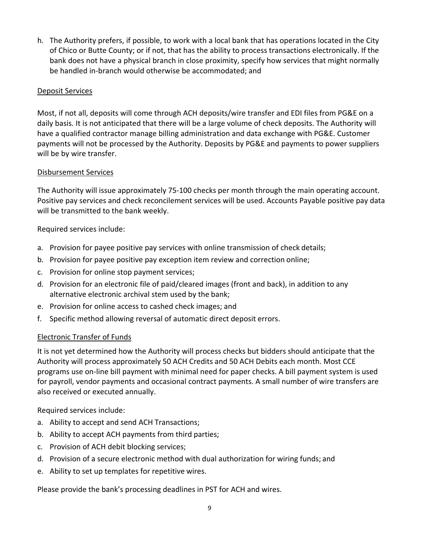h. The Authority prefers, if possible, to work with a local bank that has operations located in the City of Chico or Butte County; or if not, that has the ability to process transactions electronically. If the bank does not have a physical branch in close proximity, specify how services that might normally be handled in-branch would otherwise be accommodated; and

## Deposit Services

Most, if not all, deposits will come through ACH deposits/wire transfer and EDI files from PG&E on a daily basis. It is not anticipated that there will be a large volume of check deposits. The Authority will have a qualified contractor manage billing administration and data exchange with PG&E. Customer payments will not be processed by the Authority. Deposits by PG&E and payments to power suppliers will be by wire transfer.

#### Disbursement Services

The Authority will issue approximately 75-100 checks per month through the main operating account. Positive pay services and check reconcilement services will be used. Accounts Payable positive pay data will be transmitted to the bank weekly.

## Required services include:

- a. Provision for payee positive pay services with online transmission of check details;
- b. Provision for payee positive pay exception item review and correction online;
- c. Provision for online stop payment services;
- d. Provision for an electronic file of paid/cleared images (front and back), in addition to any alternative electronic archival stem used by the bank;
- e. Provision for online access to cashed check images; and
- f. Specific method allowing reversal of automatic direct deposit errors.

#### Electronic Transfer of Funds

It is not yet determined how the Authority will process checks but bidders should anticipate that the Authority will process approximately 50 ACH Credits and 50 ACH Debits each month. Most CCE programs use on-line bill payment with minimal need for paper checks. A bill payment system is used for payroll, vendor payments and occasional contract payments. A small number of wire transfers are also received or executed annually.

Required services include:

- a. Ability to accept and send ACH Transactions;
- b. Ability to accept ACH payments from third parties;
- c. Provision of ACH debit blocking services;
- d. Provision of a secure electronic method with dual authorization for wiring funds; and
- e. Ability to set up templates for repetitive wires.

Please provide the bank's processing deadlines in PST for ACH and wires.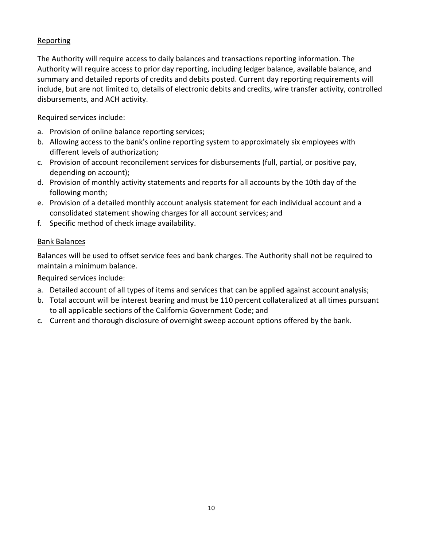## **Reporting**

The Authority will require access to daily balances and transactions reporting information. The Authority will require access to prior day reporting, including ledger balance, available balance, and summary and detailed reports of credits and debits posted. Current day reporting requirements will include, but are not limited to, details of electronic debits and credits, wire transfer activity, controlled disbursements, and ACH activity.

Required services include:

- a. Provision of online balance reporting services;
- b. Allowing access to the bank's online reporting system to approximately six employees with different levels of authorization;
- c. Provision of account reconcilement services for disbursements (full, partial, or positive pay, depending on account);
- d. Provision of monthly activity statements and reports for all accounts by the 10th day of the following month;
- e. Provision of a detailed monthly account analysis statement for each individual account and a consolidated statement showing charges for all account services; and
- f. Specific method of check image availability.

## Bank Balances

Balances will be used to offset service fees and bank charges. The Authority shall not be required to maintain a minimum balance.

Required services include:

- a. Detailed account of all types of items and services that can be applied against account analysis;
- b. Total account will be interest bearing and must be 110 percent collateralized at all times pursuant to all applicable sections of the California Government Code; and
- c. Current and thorough disclosure of overnight sweep account options offered by the bank.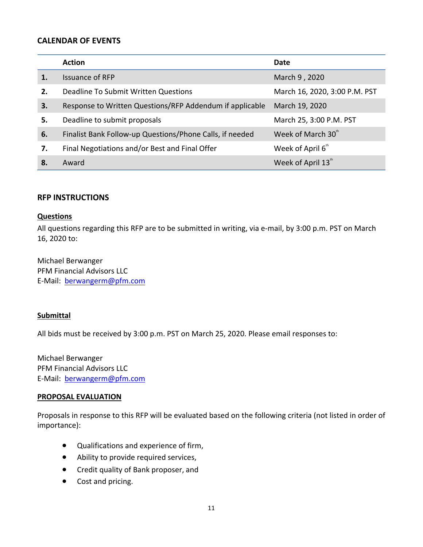## **CALENDAR OF EVENTS**

|    | <b>Action</b>                                            | Date                          |
|----|----------------------------------------------------------|-------------------------------|
|    | <b>Issuance of RFP</b>                                   | March 9, 2020                 |
| 2. | Deadline To Submit Written Questions                     | March 16, 2020, 3:00 P.M. PST |
| 3. | Response to Written Questions/RFP Addendum if applicable | March 19, 2020                |
| 5. | Deadline to submit proposals                             | March 25, 3:00 P.M. PST       |
| 6. | Finalist Bank Follow-up Questions/Phone Calls, if needed | Week of March 30th            |
| 7. | Final Negotiations and/or Best and Final Offer           | Week of April 6 <sup>th</sup> |
| 8. | Award                                                    | Week of April 13"             |

#### **RFP INSTRUCTIONS**

#### **Questions**

All questions regarding this RFP are to be submitted in writing, via e-mail, by 3:00 p.m. PST on March 16, 2020 to:

Michael Berwanger PFM Financial Advisors LLC E-Mail: [berwangerm@pfm.com](mailto:berwangerm@pfm.com)

#### **Submittal**

All bids must be received by 3:00 p.m. PST on March 25, 2020. Please email responses to:

Michael Berwanger PFM Financial Advisors LLC E-Mail: [berwangerm@pfm.com](mailto:berwangerm@pfm.com)

#### **PROPOSAL EVALUATION**

Proposals in response to this RFP will be evaluated based on the following criteria (not listed in order of importance):

- Qualifications and experience of firm,
- Ability to provide required services,
- Credit quality of Bank proposer, and
- Cost and pricing.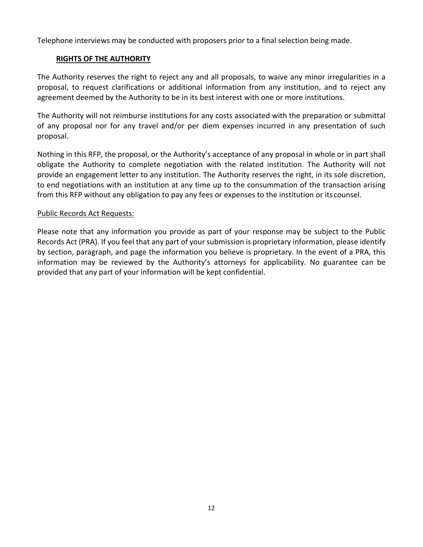Telephone interviews may be conducted with proposers prior to a final selection being made.

## **RIGHTS OF THE AUTHORITY**

The Authority reserves the right to reject any and all proposals, to waive any minor irregularities in a proposal, to request clarifications or additional information from any institution, and to reject any agreement deemed by the Authority to be in its best interest with one or more institutions.

The Authority will not reimburse institutions for any costs associated with the preparation or submittal of any proposal nor for any travel and/or per diem expenses incurred in any presentation of such proposal.

Nothing in this RFP, the proposal, or the Authority's acceptance of any proposal in whole or in part shall obligate the Authority to complete negotiation with the related institution. The Authority will not provide an engagement letter to any institution. The Authority reserves the right, in its sole discretion, to end negotiations with an institution at any time up to the consummation of the transaction arising from this RFP without any obligation to pay any fees or expenses to the institution or its counsel.

#### Public Records Act Requests:

Please note that any information you provide as part of your response may be subject to the Public Records Act (PRA). If you feel that any part of your submission is proprietary information, please identify by section, paragraph, and page the information you believe is proprietary. In the event of a PRA, this information may be reviewed by the Authority's attorneys for applicability. No guarantee can be provided that any part of your information will be kept confidential.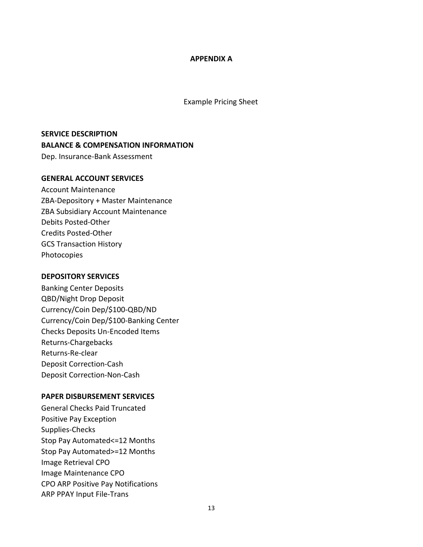#### **APPENDIX A**

Example Pricing Sheet

## **SERVICE DESCRIPTION BALANCE & COMPENSATION INFORMATION** Dep. Insurance-Bank Assessment

#### **GENERAL ACCOUNT SERVICES**

Account Maintenance ZBA-Depository + Master Maintenance ZBA Subsidiary Account Maintenance Debits Posted-Other Credits Posted-Other GCS Transaction History Photocopies

#### **DEPOSITORY SERVICES**

Banking Center Deposits QBD/Night Drop Deposit Currency/Coin Dep/\$100-QBD/ND Currency/Coin Dep/\$100-Banking Center Checks Deposits Un-Encoded Items Returns-Chargebacks Returns-Re-clear Deposit Correction-Cash Deposit Correction-Non-Cash

#### **PAPER DISBURSEMENT SERVICES**

General Checks Paid Truncated Positive Pay Exception Supplies-Checks Stop Pay Automated<=12 Months Stop Pay Automated>=12 Months Image Retrieval CPO Image Maintenance CPO CPO ARP Positive Pay Notifications ARP PPAY Input File-Trans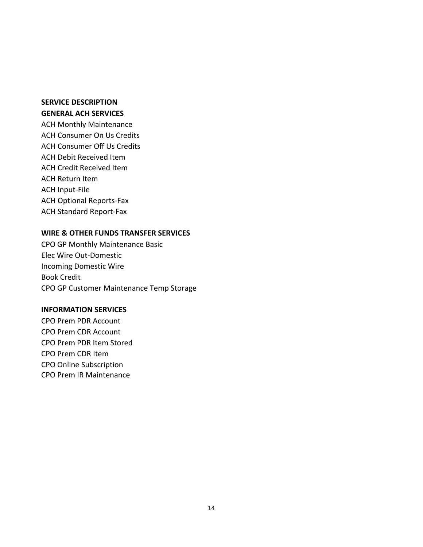## **SERVICE DESCRIPTION GENERAL ACH SERVICES**

ACH Monthly Maintenance ACH Consumer On Us Credits ACH Consumer Off Us Credits ACH Debit Received Item ACH Credit Received Item ACH Return Item ACH Input-File ACH Optional Reports-Fax ACH Standard Report-Fax

## **WIRE & OTHER FUNDS TRANSFER SERVICES**

CPO GP Monthly Maintenance Basic Elec Wire Out-Domestic Incoming Domestic Wire Book Credit CPO GP Customer Maintenance Temp Storage

#### **INFORMATION SERVICES**

CPO Prem PDR Account CPO Prem CDR Account CPO Prem PDR Item Stored CPO Prem CDR Item CPO Online Subscription CPO Prem IR Maintenance